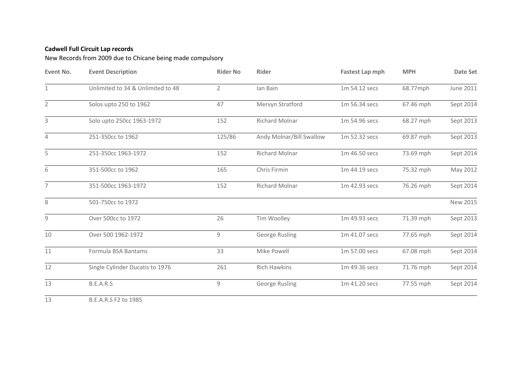## **Cadwell Full Circuit Lap records**

New Records from 2009 due to Chicane being made compulsory

| Event No.      | <b>Event Description</b>          | <b>Rider No</b> | <b>Rider</b>             | <b>Fastest Lap mph</b> | <b>MPH</b> | Date Set  |
|----------------|-----------------------------------|-----------------|--------------------------|------------------------|------------|-----------|
| $\mathbf{1}$   | Unlimited to 34 & Unlimited to 48 | $\overline{2}$  | lan Bain                 | 1m 54.12 secs          | 68.77mph   | June 2011 |
| $\overline{2}$ | Solos upto 250 to 1962            | 47              | Mervyn Stratford         | 1m 56.34 secs          | 67.46 mph  | Sept 2014 |
| 3              | Solo upto 250cc 1963-1972         | 152             | <b>Richard Molnar</b>    | 1m 54.96 secs          | 68.27 mph  | Sept 2013 |
| $\sqrt{4}$     | 251-350cc to 1962                 | 125/86          | Andy Molnar/Bill Swallow | 1m 52.32 secs          | 69.87 mph  | Sept 2013 |
| 5              | 251-350cc 1963-1972               | 152             | Richard Molnar           | 1m 46.50 secs          | 73.69 mph  | Sept 2014 |
| 6              | 351-500cc to 1962                 | 165             | Chris Firmin             | 1m 44.19 secs          | 75.32 mph  | May 2012  |
| $\overline{7}$ | 351-500cc 1963-1972               | 152             | <b>Richard Molnar</b>    | 1m 42.93 secs          | 76.26 mph  | Sept 2014 |
| 8              | 501-750cc to 1972                 |                 |                          |                        |            | New 2015  |
| 9              | Over 500cc to 1972                | 26              | Tim Woolley              | 1m 49.93 secs          | 71.39 mph  | Sept 2013 |
| 10             | Over 500 1962-1972                | 9               | George Rusling           | 1m 41.07 secs          | 77.65 mph  | Sept 2014 |
| 11             | Formula BSA Bantams               | 33              | Mike Powell              | 1m 57.00 secs          | 67.08 mph  | Sept 2014 |
| 12             | Single Cylinder Ducatis to 1976   | 261             | <b>Rich Hawkins</b>      | 1m 49.36 secs          | 71.76 mph  | Sept 2014 |
| 13             | B.E.A.R.S                         | 9               | George Rusling           | 1m 41.20 secs          | 77.55 mph  | Sept 2014 |
| 13             | B.E.A.R.S F2 to 1985              |                 |                          |                        |            |           |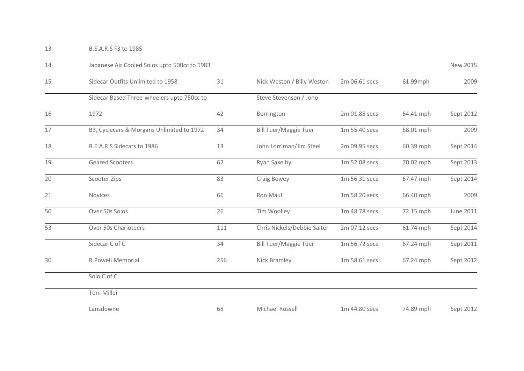| 14 | Japanese Air Cooled Solos upto 500cc to 1983 |     |                              |               |           |           |
|----|----------------------------------------------|-----|------------------------------|---------------|-----------|-----------|
| 15 | Sidecar Outfits Unlimited to 1958            | 31  | Nick Weston / Billy Weston   | 2m 06.61 secs | 61.99mph  | 2009      |
|    | Sidecar Based Three-wheelers upto 750cc to   |     | Steve Stevenson / Jono       |               |           |           |
| 16 | 1972                                         | 42  | Borrington                   | 2m 01.85 secs | 64.41 mph | Sept 2012 |
| 17 | B3, Cyclecars & Morgans Unlimited to 1972    | 34  | <b>Bill Tuer/Maggie Tuer</b> | 1m 55.40 secs | 68.01 mph | 2009      |
| 18 | B.E.A.R.S Sidecars to 1986                   | 13  | John Lorriman/Jim Steel      | 2m 09.95 secs | 60.39 mph | Sept 2014 |
| 19 | <b>Geared Scooters</b>                       | 62  | Ryan Saxelby                 | 1m 52.08 secs | 70.02 mph | Sept 2013 |
| 20 | Scooter Zips                                 | 83  | Craig Bewey                  | 1m 56.31 secs | 67.47 mph | Sept 2014 |
| 21 | <b>Novices</b>                               | 66  | Ron Maul                     | 1m 58.20 secs | 66.40 mph | 2009      |
| 50 | Over 50s Solos                               | 26  | Tim Woolley                  | 1m 48.78 secs | 72.15 mph | June 2011 |
| 53 | Over 50s Charioteers                         | 111 | Chris Nickels/Debbie Salter  | 2m 07.12 secs | 61.74 mph | Sept 2014 |
|    | Sidecar C of C                               | 34  | <b>Bill Tuer/Maggie Tuer</b> | 1m 56.72 secs | 67.24 mph | Sept 2011 |
| 30 | <b>R.Powell Memorial</b>                     | 256 | Nick Bramley                 | 1m 58.61 secs | 67.24 mph | Sept 2012 |
|    | Solo C of C                                  |     |                              |               |           |           |
|    | Tom Miller                                   |     |                              |               |           |           |
|    | Lansdowne                                    | 68  | Michael Russell              | 1m 44.80 secs | 74.89 mph | Sept 2012 |